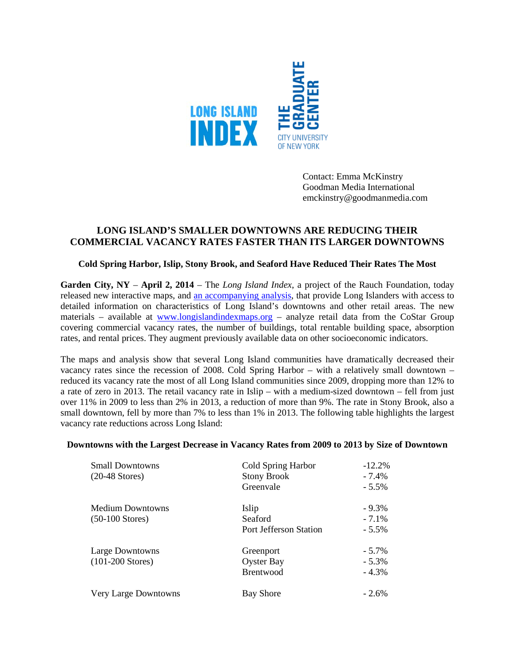

Contact: Emma McKinstry Goodman Media International emckinstry@goodmanmedia.com

# **LONG ISLAND'S SMALLER DOWNTOWNS ARE REDUCING THEIR COMMERCIAL VACANCY RATES FASTER THAN ITS LARGER DOWNTOWNS**

### **Cold Spring Harbor, Islip, Stony Brook, and Seaford Have Reduced Their Rates The Most**

**Garden City, NY** – **April 2, 2014** – The *Long Island Index*, a project of the Rauch Foundation, today released new interactive maps, and an [accompanying analysis,](http://www.longislandindexmaps.org/images/faq/RetailSpaceIndicator_2014.pdf) that provide Long Islanders with access to detailed information on characteristics of Long Island's downtowns and other retail areas. The new materials – available at [www.longislandindexmaps.org](http://www.longislandindexmaps.org/) – analyze retail data from the CoStar Group covering commercial vacancy rates, the number of buildings, total rentable building space, absorption rates, and rental prices. They augment previously available data on other socioeconomic indicators.

The maps and analysis show that several Long Island communities have dramatically decreased their vacancy rates since the recession of 2008. Cold Spring Harbor – with a relatively small downtown – reduced its vacancy rate the most of all Long Island communities since 2009, dropping more than 12% to a rate of zero in 2013. The retail vacancy rate in Islip – with a medium-sized downtown – fell from just over 11% in 2009 to less than 2% in 2013, a reduction of more than 9%. The rate in Stony Brook, also a small downtown, fell by more than 7% to less than 1% in 2013. The following table highlights the largest vacancy rate reductions across Long Island:

# **Downtowns with the Largest Decrease in Vacancy Rates from 2009 to 2013 by Size of Downtown**

| <b>Small Downtowns</b><br>$(20-48$ Stores) | Cold Spring Harbor<br><b>Stony Brook</b> | $-12.2%$<br>- 7.4% |
|--------------------------------------------|------------------------------------------|--------------------|
|                                            | Greenvale                                | $-5.5\%$           |
| <b>Medium Downtowns</b>                    | Islip                                    | $-9.3\%$           |
| $(50-100$ Stores)                          | Seaford                                  | $-7.1\%$           |
|                                            | Port Jefferson Station                   | $-5.5\%$           |
| Large Downtowns                            | Greenport                                | $-5.7\%$           |
| $(101-200$ Stores)                         | <b>Oyster Bay</b>                        | $-5.3\%$           |
|                                            | <b>Brentwood</b>                         | $-4.3%$            |
| <b>Very Large Downtowns</b>                | <b>Bay Shore</b>                         | $-2.6\%$           |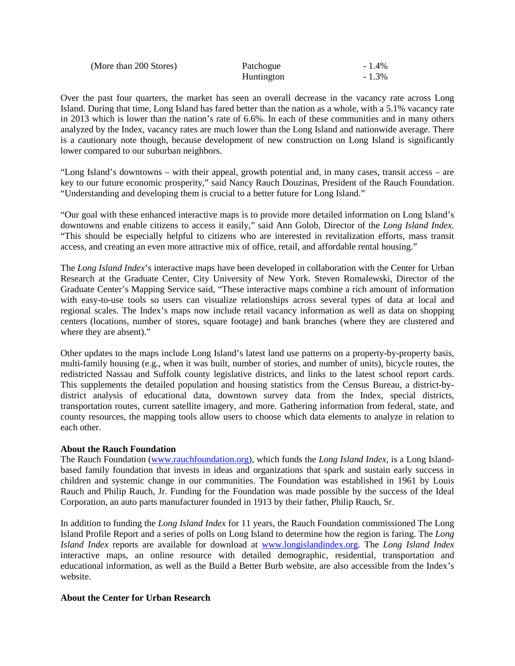| (More than 200 Stores) | Patchogue  | $-1.4\%$ |
|------------------------|------------|----------|
|                        | Huntington | $-1.3\%$ |

Over the past four quarters, the market has seen an overall decrease in the vacancy rate across Long Island. During that time, Long Island has fared better than the nation as a whole, with a 5.1% vacancy rate in 2013 which is lower than the nation's rate of 6.6%. In each of these communities and in many others analyzed by the Index, vacancy rates are much lower than the Long Island and nationwide average. There is a cautionary note though, because development of new construction on Long Island is significantly lower compared to our suburban neighbors.

"Long Island's downtowns – with their appeal, growth potential and, in many cases, transit access – are key to our future economic prosperity," said Nancy Rauch Douzinas, President of the Rauch Foundation. "Understanding and developing them is crucial to a better future for Long Island."

"Our goal with these enhanced interactive maps is to provide more detailed information on Long Island's downtowns and enable citizens to access it easily," said Ann Golob, Director of the *Long Island Index*. "This should be especially helpful to citizens who are interested in revitalization efforts, mass transit access, and creating an even more attractive mix of office, retail, and affordable rental housing."

The *Long Island Index*'s interactive maps have been developed in collaboration with the Center for Urban Research at the Graduate Center, City University of New York. Steven Romalewski, Director of the Graduate Center's Mapping Service said, "These interactive maps combine a rich amount of information with easy-to-use tools so users can visualize relationships across several types of data at local and regional scales. The Index's maps now include retail vacancy information as well as data on shopping centers (locations, number of stores, square footage) and bank branches (where they are clustered and where they are absent)."

Other updates to the maps include Long Island's latest land use patterns on a property-by-property basis, multi-family housing (e.g., when it was built, number of stories, and number of units), bicycle routes, the redistricted Nassau and Suffolk county legislative districts, and links to the latest school report cards. This supplements the detailed population and housing statistics from the Census Bureau, a district-bydistrict analysis of educational data, downtown survey data from the Index, special districts, transportation routes, current satellite imagery, and more. Gathering information from federal, state, and county resources, the mapping tools allow users to choose which data elements to analyze in relation to each other.

# **About the Rauch Foundation**

The Rauch Foundation [\(www.rauchfoundation.org\)](http://www.rauchfoundation.org/), which funds the *Long Island Index*, is a Long Islandbased family foundation that invests in ideas and organizations that spark and sustain early success in children and systemic change in our communities. The Foundation was established in 1961 by Louis Rauch and Philip Rauch, Jr. Funding for the Foundation was made possible by the success of the Ideal Corporation, an auto parts manufacturer founded in 1913 by their father, Philip Rauch, Sr.

In addition to funding the *Long Island Index* for 11 years, the Rauch Foundation commissioned The Long Island Profile Report and a series of polls on Long Island to determine how the region is faring. The *Long Island Index* reports are available for download at [www.longislandindex.org.](http://www.longislandindex.org/) The *Long Island Index* interactive maps, an online resource with detailed demographic, residential, transportation and educational information, as well as the Build a Better Burb website, are also accessible from the Index's website.

### **About the Center for Urban Research**